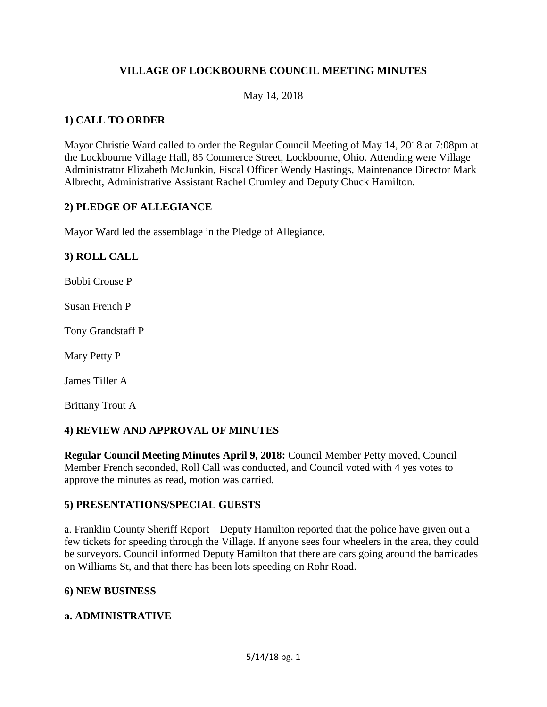# **VILLAGE OF LOCKBOURNE COUNCIL MEETING MINUTES**

#### May 14, 2018

## **1) CALL TO ORDER**

Mayor Christie Ward called to order the Regular Council Meeting of May 14, 2018 at 7:08pm at the Lockbourne Village Hall, 85 Commerce Street, Lockbourne, Ohio. Attending were Village Administrator Elizabeth McJunkin, Fiscal Officer Wendy Hastings, Maintenance Director Mark Albrecht, Administrative Assistant Rachel Crumley and Deputy Chuck Hamilton.

#### **2) PLEDGE OF ALLEGIANCE**

Mayor Ward led the assemblage in the Pledge of Allegiance.

#### **3) ROLL CALL**

Bobbi Crouse P

Susan French P

Tony Grandstaff P

Mary Petty P

James Tiller A

Brittany Trout A

## **4) REVIEW AND APPROVAL OF MINUTES**

**Regular Council Meeting Minutes April 9, 2018:** Council Member Petty moved, Council Member French seconded, Roll Call was conducted, and Council voted with 4 yes votes to approve the minutes as read, motion was carried.

#### **5) PRESENTATIONS/SPECIAL GUESTS**

a. Franklin County Sheriff Report – Deputy Hamilton reported that the police have given out a few tickets for speeding through the Village. If anyone sees four wheelers in the area, they could be surveyors. Council informed Deputy Hamilton that there are cars going around the barricades on Williams St, and that there has been lots speeding on Rohr Road.

#### **6) NEW BUSINESS**

#### **a. ADMINISTRATIVE**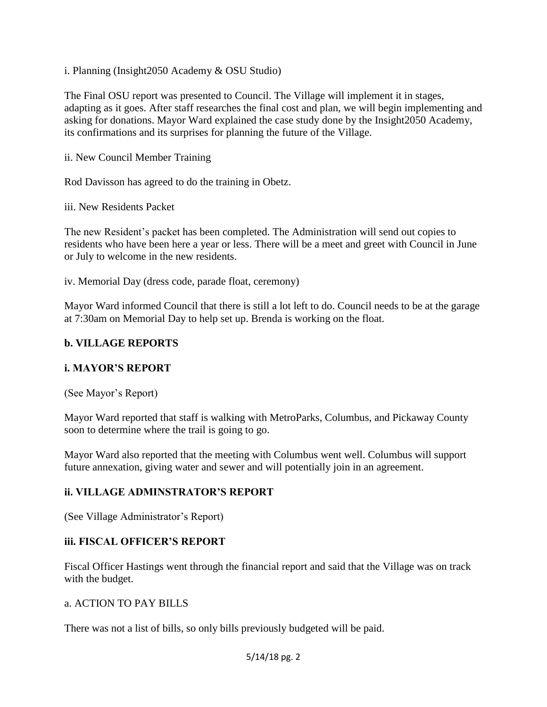i. Planning (Insight2050 Academy & OSU Studio)

The Final OSU report was presented to Council. The Village will implement it in stages, adapting as it goes. After staff researches the final cost and plan, we will begin implementing and asking for donations. Mayor Ward explained the case study done by the Insight2050 Academy, its confirmations and its surprises for planning the future of the Village.

ii. New Council Member Training

Rod Davisson has agreed to do the training in Obetz.

iii. New Residents Packet

The new Resident's packet has been completed. The Administration will send out copies to residents who have been here a year or less. There will be a meet and greet with Council in June or July to welcome in the new residents.

iv. Memorial Day (dress code, parade float, ceremony)

Mayor Ward informed Council that there is still a lot left to do. Council needs to be at the garage at 7:30am on Memorial Day to help set up. Brenda is working on the float.

## **b. VILLAGE REPORTS**

## **i. MAYOR'S REPORT**

(See Mayor's Report)

Mayor Ward reported that staff is walking with MetroParks, Columbus, and Pickaway County soon to determine where the trail is going to go.

Mayor Ward also reported that the meeting with Columbus went well. Columbus will support future annexation, giving water and sewer and will potentially join in an agreement.

## **ii. VILLAGE ADMINSTRATOR'S REPORT**

(See Village Administrator's Report)

#### **iii. FISCAL OFFICER'S REPORT**

Fiscal Officer Hastings went through the financial report and said that the Village was on track with the budget.

#### a. ACTION TO PAY BILLS

There was not a list of bills, so only bills previously budgeted will be paid.

#### 5/14/18 pg. 2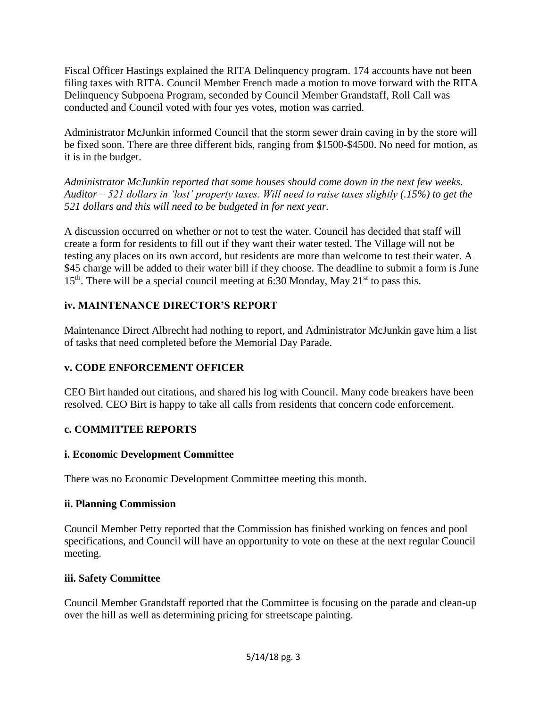Fiscal Officer Hastings explained the RITA Delinquency program. 174 accounts have not been filing taxes with RITA. Council Member French made a motion to move forward with the RITA Delinquency Subpoena Program, seconded by Council Member Grandstaff, Roll Call was conducted and Council voted with four yes votes, motion was carried.

Administrator McJunkin informed Council that the storm sewer drain caving in by the store will be fixed soon. There are three different bids, ranging from \$1500-\$4500. No need for motion, as it is in the budget.

*Administrator McJunkin reported that some houses should come down in the next few weeks. Auditor – 521 dollars in 'lost' property taxes. Will need to raise taxes slightly (.15%) to get the 521 dollars and this will need to be budgeted in for next year.*

A discussion occurred on whether or not to test the water. Council has decided that staff will create a form for residents to fill out if they want their water tested. The Village will not be testing any places on its own accord, but residents are more than welcome to test their water. A \$45 charge will be added to their water bill if they choose. The deadline to submit a form is June  $15<sup>th</sup>$ . There will be a special council meeting at 6:30 Monday, May 21<sup>st</sup> to pass this.

# **iv. MAINTENANCE DIRECTOR'S REPORT**

Maintenance Direct Albrecht had nothing to report, and Administrator McJunkin gave him a list of tasks that need completed before the Memorial Day Parade.

## **v. CODE ENFORCEMENT OFFICER**

CEO Birt handed out citations, and shared his log with Council. Many code breakers have been resolved. CEO Birt is happy to take all calls from residents that concern code enforcement.

## **c. COMMITTEE REPORTS**

## **i. Economic Development Committee**

There was no Economic Development Committee meeting this month.

## **ii. Planning Commission**

Council Member Petty reported that the Commission has finished working on fences and pool specifications, and Council will have an opportunity to vote on these at the next regular Council meeting.

## **iii. Safety Committee**

Council Member Grandstaff reported that the Committee is focusing on the parade and clean-up over the hill as well as determining pricing for streetscape painting.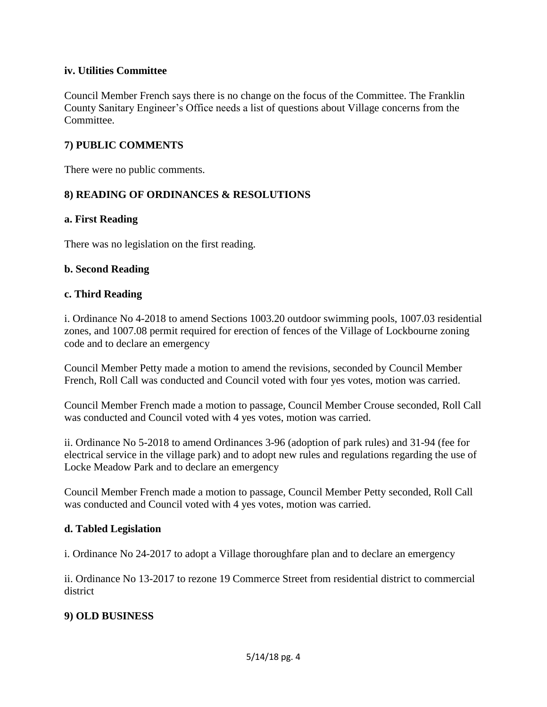## **iv. Utilities Committee**

Council Member French says there is no change on the focus of the Committee. The Franklin County Sanitary Engineer's Office needs a list of questions about Village concerns from the Committee.

## **7) PUBLIC COMMENTS**

There were no public comments.

## **8) READING OF ORDINANCES & RESOLUTIONS**

#### **a. First Reading**

There was no legislation on the first reading.

#### **b. Second Reading**

#### **c. Third Reading**

i. Ordinance No 4-2018 to amend Sections 1003.20 outdoor swimming pools, 1007.03 residential zones, and 1007.08 permit required for erection of fences of the Village of Lockbourne zoning code and to declare an emergency

Council Member Petty made a motion to amend the revisions, seconded by Council Member French, Roll Call was conducted and Council voted with four yes votes, motion was carried.

Council Member French made a motion to passage, Council Member Crouse seconded, Roll Call was conducted and Council voted with 4 yes votes, motion was carried.

ii. Ordinance No 5-2018 to amend Ordinances 3-96 (adoption of park rules) and 31-94 (fee for electrical service in the village park) and to adopt new rules and regulations regarding the use of Locke Meadow Park and to declare an emergency

Council Member French made a motion to passage, Council Member Petty seconded, Roll Call was conducted and Council voted with 4 yes votes, motion was carried.

#### **d. Tabled Legislation**

i. Ordinance No 24-2017 to adopt a Village thoroughfare plan and to declare an emergency

ii. Ordinance No 13-2017 to rezone 19 Commerce Street from residential district to commercial district

## **9) OLD BUSINESS**